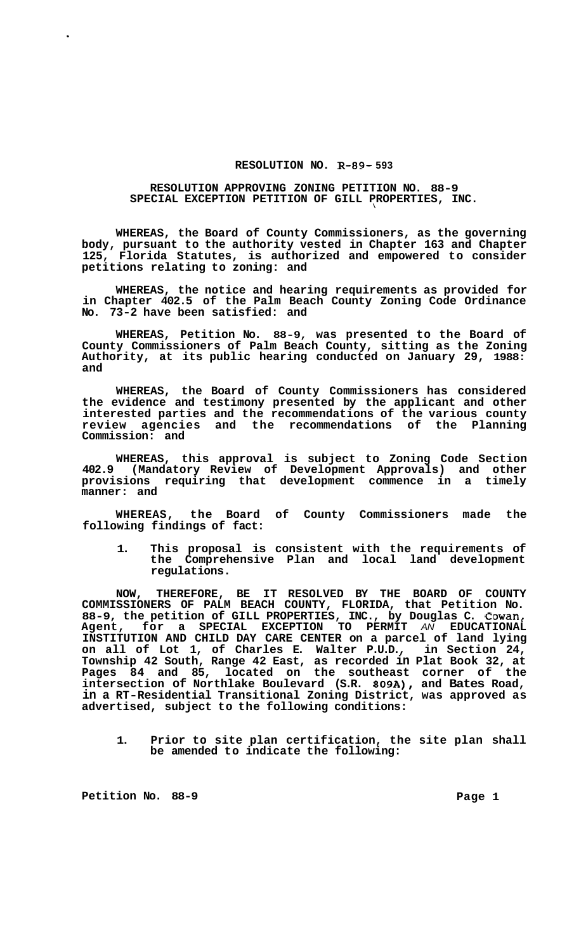## **RESOLUTION NO. R-89- 593**

## **RESOLUTION APPROVING ZONING PETITION NO. 88-9 SPECIAL EXCEPTION PETITION OF GILL PROPERTIES, INC.**  \

**WHEREAS, the Board of County Commissioners, as the governing body, pursuant to the authority vested in Chapter 163 and Chapter 125, Florida Statutes, is authorized and empowered to consider petitions relating to zoning: and** 

**WHEREAS, the notice and hearing requirements as provided for in Chapter 402.5 of the Palm Beach County Zoning Code Ordinance No. 73-2 have been satisfied: and** 

**WHEREAS, Petition No. 88-9, was presented to the Board of County Commissioners of Palm Beach County, sitting as the Zoning Authority, at its public hearing conducted on January 29, 1988: and** 

**WHEREAS, the Board of County Commissioners has considered the evidence and testimony presented by the applicant and other interested parties and the recommendations of the various county review agencies and the recommendations of the Planning Commission: and** 

**WHEREAS, this approval is subject to Zoning Code Section 402.9 (Mandatory Review of Development Approvals) and other provisions requiring that development commence in a timely manner: and** 

**WHEREAS, the Board of County Commissioners made the following findings of fact:** 

**1. This proposal is consistent with the requirements of the Comprehensive Plan and local land development regulations.** 

**NOW, THEREFORE, BE IT RESOLVED BY THE BOARD OF COUNTY COMMISSIONERS OF PALM BEACH COUNTY, FLORIDA, that Petition No. 88-9, the petition of GILL PROPERTIES, INC., by Douglas C. Cowan, Agent, for a SPECIAL EXCEPTION TO PERMIT** *AN* **EDUCATIONAL INSTITUTION AND CHILD DAY CARE CENTER on a parcel of land lying on all of Lot 1, of Charles E. Walter P.U.D., in Section 24, Township 42 South, Range 42 East, as recorded in Plat Book 32, at Pages 84 and 85, located on the southeast corner of the intersection of Northlake Boulevard (S.R. 809A), and Bates Road, in a RT-Residential Transitional Zoning District, was approved as advertised, subject to the following conditions:** 

**1. Prior to site plan certification, the site plan shall be amended to indicate the following:** 

Petition No. 88-9 **Page 1 Page 1**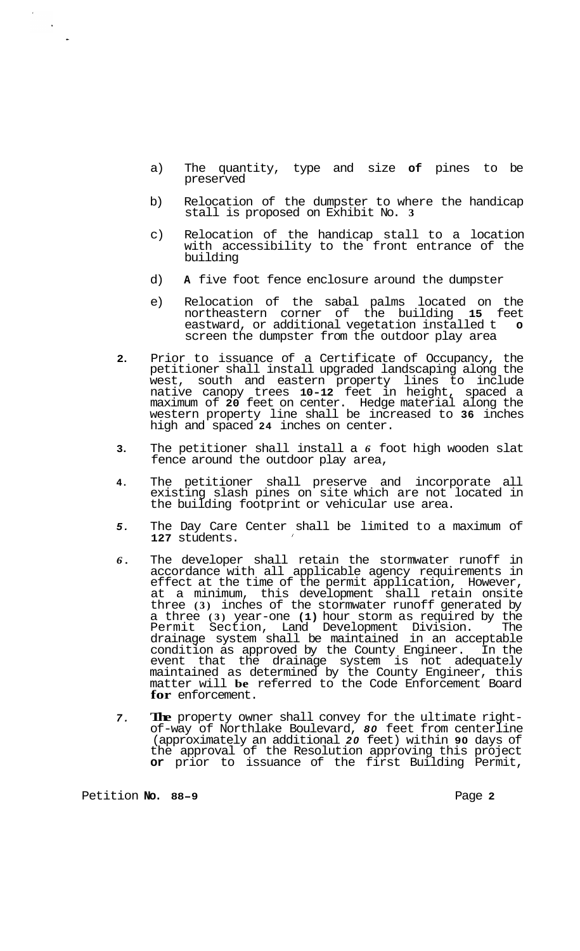- a) The quantity, type and size **of** pines to be preserved
- b) Relocation of the dumpster to where the handicap stall is proposed on Exhibit No. **3**
- c) Relocation of the handicap stall to a location with accessibility to the front entrance of the building
- d) **A** five foot fence enclosure around the dumpster
- e) Relocation of the sabal palms located on the northeastern corner of the building **15** feet eastward, or additional vegetation installed t screen the dumpster from the outdoor play area
- **2.**  Prior to issuance of a Certificate of Occupancy, the petitioner shall install upgraded landscaping along the west, south and eastern property lines to include native canopy trees **10-12** feet in height, spaced a maximum of **20** feet on center. Hedge material along the western property line shall be increased to **36** inches high and spaced **24** inches on center.
- **3.**  The petitioner shall install a *6* foot high wooden slat fence around the outdoor play area,
- **4.**  The petitioner shall preserve and incorporate all existing slash pines on site which are not located in the building footprint or vehicular use area.
- *5.*  The Day Care Center shall be limited to a maximum of **127** students. *<sup>I</sup>*
- *6.*  The developer shall retain the stormwater runoff in accordance with all applicable agency requirements in effect at the time of the permit application, However, at a minimum, this development shall retain onsite three **(3)** inches of the stormwater runoff generated by a three **(3)** year-one **(1)** hour storm as required by the Permit Section, Land Development Division. The drainage system shall be maintained in an acceptable condition as approved by the County Engineer. In the event that the drainage system is not adequately maintained as determined by the County Engineer, this matter will **be** referred to the Code Enforcement Board **for** enforcement.
- *7.*  **The** property owner shall convey for the ultimate rightof-way of Northlake Boulevard, *80* feet from centerline (approximately an additional *20* feet) within **90** days of the approval of the Resolution approving this project **or** prior to issuance of the first Building Permit,

Petition No. 88-9 **No. 88-9** Page **2**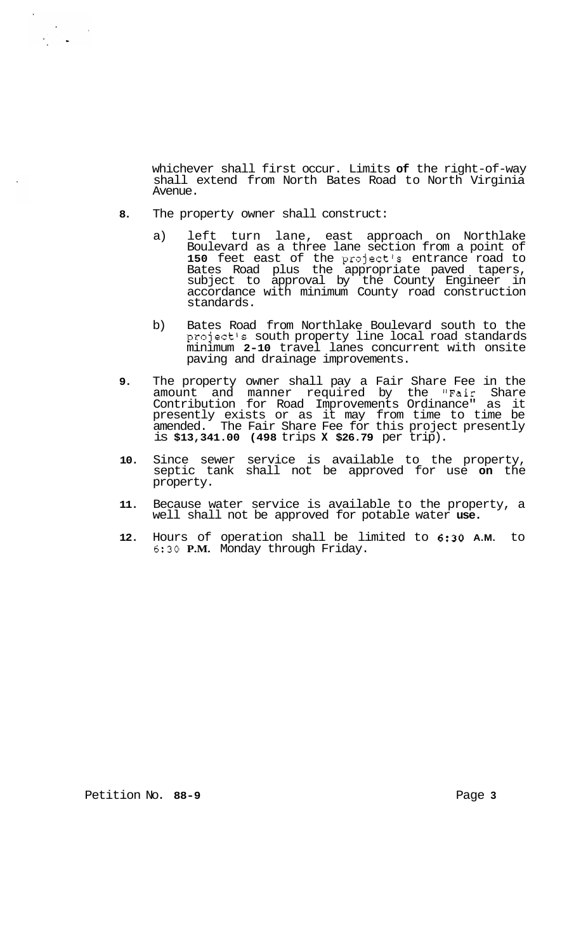whichever shall first occur. Limits **of** the right-of-way shall extend from North Bates Road to North Virginia Avenue.

- **8.** The property owner shall construct:
	- a) left turn lane, east approach on Northlake Boulevard as a three lane section from a point of 150 feet east of the project's entrance road to Bates Road plus the appropriate paved tapers, subject to approval by the County Engineer in accordance with minimum County road construction standards.
	- b) Bates Road from Northlake Boulevard south to the project's south property line local road standards minimum **2-10** travel lanes concurrent with onsite paving and drainage improvements.
- **9.** The property owner shall pay a Fair Share Fee in the amount and manner required by the "Fair Share Contribution for Road Improvements Ordinance" as it presently exists or as it may from time to time be amended. The Fair Share Fee for this project presently is **\$13,341.00 (498** trips **X \$26.79** per trip).
- **10.** Since sewer service is available to the property, septic tank shall not be approved for use **on** the property.
- **11.** Because water service is available to the property, a well shall not be approved for potable water **use.**
- **12.** Hours of operation shall be limited to **6:30 A.M.** to *6:30* **P.M.** Monday through Friday.

Petition No. 88-9 **Page 3 Page 3**